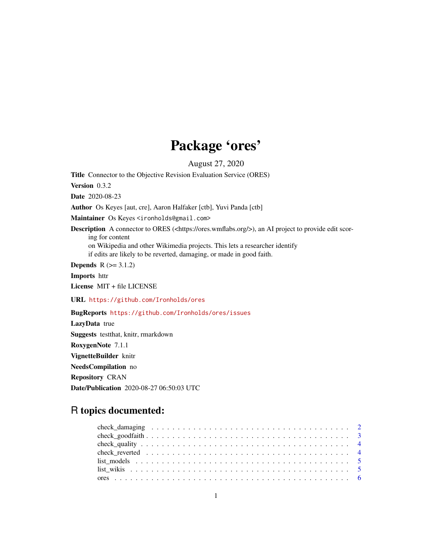## Package 'ores'

August 27, 2020

Title Connector to the Objective Revision Evaluation Service (ORES)

Version 0.3.2

Date 2020-08-23

Author Os Keyes [aut, cre], Aaron Halfaker [ctb], Yuvi Panda [ctb]

Maintainer Os Keyes <ironholds@gmail.com>

Description A connector to ORES (<https://ores.wmflabs.org/>), an AI project to provide edit scoring for content on Wikipedia and other Wikimedia projects. This lets a researcher identify

if edits are likely to be reverted, damaging, or made in good faith.

**Depends**  $R (= 3.1.2)$ 

Imports httr

License MIT + file LICENSE

URL <https://github.com/Ironholds/ores>

BugReports <https://github.com/Ironholds/ores/issues>

LazyData true Suggests testthat, knitr, rmarkdown RoxygenNote 7.1.1 VignetteBuilder knitr NeedsCompilation no Repository CRAN Date/Publication 2020-08-27 06:50:03 UTC

### R topics documented:

| check reverted $\ldots \ldots \ldots \ldots \ldots \ldots \ldots \ldots \ldots \ldots \ldots \ldots$ |  |
|------------------------------------------------------------------------------------------------------|--|
|                                                                                                      |  |
|                                                                                                      |  |
|                                                                                                      |  |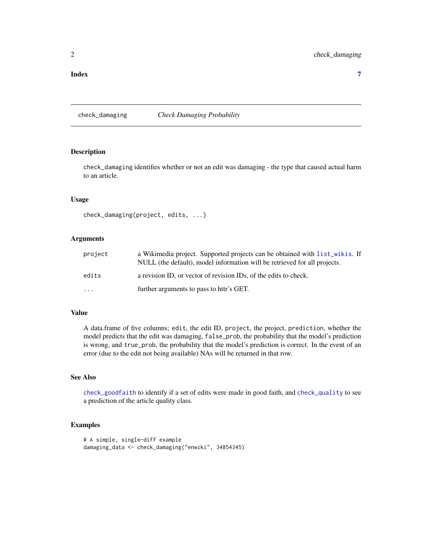#### <span id="page-1-1"></span><span id="page-1-0"></span>check\_damaging *Check Damaging Probability*

#### Description

check\_damaging identifies whether or not an edit was damaging - the type that caused actual harm to an article.

#### Usage

```
check_damaging(project, edits, ...)
```
#### Arguments

| project   | a Wikimedia project. Supported projects can be obtained with list_wikis. If<br>NULL (the default), model information will be retrieved for all projects. |
|-----------|----------------------------------------------------------------------------------------------------------------------------------------------------------|
| edits     | a revision ID, or vector of revision IDs, of the edits to check.                                                                                         |
| $\ddotsc$ | further arguments to pass to httr's GET.                                                                                                                 |

#### Value

A data.frame of five columns; edit, the edit ID, project, the project, prediction, whether the model predicts that the edit was damaging, false\_prob, the probability that the model's prediction is wrong, and true\_prob, the probability that the model's prediction is correct. In the event of an error (due to the edit not being available) NAs will be returned in that row.

#### See Also

[check\\_goodfaith](#page-2-1) to identify if a set of edits were made in good faith, and [check\\_quality](#page-3-1) to see a prediction of the article quality class.

#### Examples

```
# A simple, single-diff example
damaging_data <- check_damaging("enwiki", 34854345)
```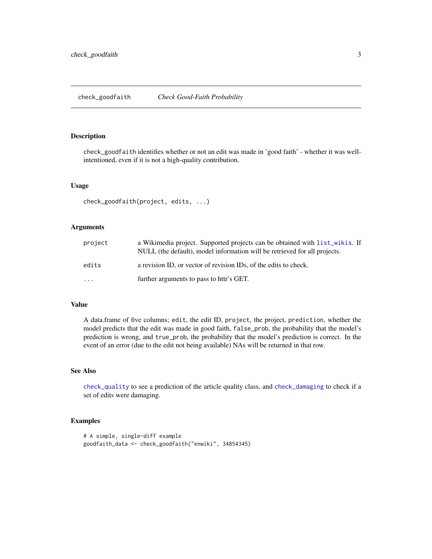<span id="page-2-1"></span><span id="page-2-0"></span>check\_goodfaith *Check Good-Faith Probability*

#### Description

check\_goodfaith identifies whether or not an edit was made in 'good faith' - whether it was wellintentioned, even if it is not a high-quality contribution.

#### Usage

check\_goodfaith(project, edits, ...)

#### Arguments

| project | a Wikimedia project. Supported projects can be obtained with list_wikis. If<br>NULL (the default), model information will be retrieved for all projects. |
|---------|----------------------------------------------------------------------------------------------------------------------------------------------------------|
| edits   | a revision ID, or vector of revision IDs, of the edits to check.                                                                                         |
| .       | further arguments to pass to httr's GET.                                                                                                                 |

#### Value

A data.frame of five columns; edit, the edit ID, project, the project, prediction, whether the model predicts that the edit was made in good faith, false\_prob, the probability that the model's prediction is wrong, and true\_prob, the probability that the model's prediction is correct. In the event of an error (due to the edit not being available) NAs will be returned in that row.

#### See Also

[check\\_quality](#page-3-1) to see a prediction of the article quality class, and [check\\_damaging](#page-1-1) to check if a set of edits were damaging.

#### Examples

```
# A simple, single-diff example
goodfaith_data <- check_goodfaith("enwiki", 34854345)
```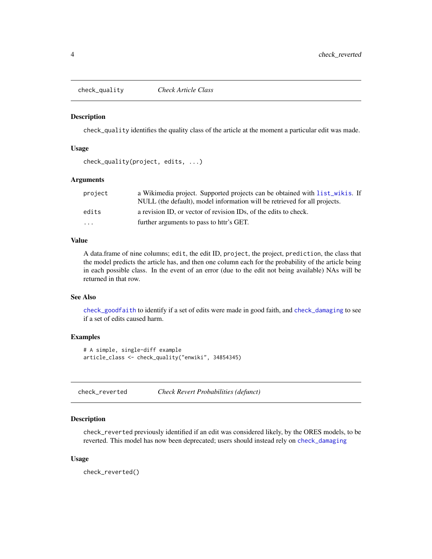<span id="page-3-1"></span><span id="page-3-0"></span>check\_quality *Check Article Class*

#### Description

check\_quality identifies the quality class of the article at the moment a particular edit was made.

#### Usage

```
check_quality(project, edits, ...)
```
#### Arguments

| project | a Wikimedia project. Supported projects can be obtained with list_wikis. If |
|---------|-----------------------------------------------------------------------------|
|         | NULL (the default), model information will be retrieved for all projects.   |
| edits   | a revision ID, or vector of revision IDs, of the edits to check.            |
| $\cdot$ | further arguments to pass to httr's GET.                                    |

#### Value

A data.frame of nine columns; edit, the edit ID, project, the project, prediction, the class that the model predicts the article has, and then one column each for the probability of the article being in each possible class. In the event of an error (due to the edit not being available) NAs will be returned in that row.

#### See Also

[check\\_goodfaith](#page-2-1) to identify if a set of edits were made in good faith, and [check\\_damaging](#page-1-1) to see if a set of edits caused harm.

#### Examples

```
# A simple, single-diff example
article_class <- check_quality("enwiki", 34854345)
```
check\_reverted *Check Revert Probabilities (defunct)*

#### Description

check\_reverted previously identified if an edit was considered likely, by the ORES models, to be reverted. This model has now been deprecated; users should instead rely on [check\\_damaging](#page-1-1)

#### Usage

check\_reverted()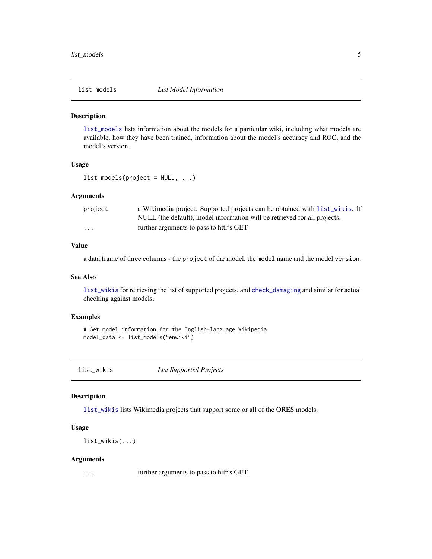<span id="page-4-2"></span><span id="page-4-0"></span>

#### Description

[list\\_models](#page-4-2) lists information about the models for a particular wiki, including what models are available, how they have been trained, information about the model's accuracy and ROC, and the model's version.

#### Usage

list\_models(project = NULL, ...)

#### Arguments

| project  | a Wikimedia project. Supported projects can be obtained with list_wikis. If |
|----------|-----------------------------------------------------------------------------|
|          | NULL (the default), model information will be retrieved for all projects.   |
| $\cdots$ | further arguments to pass to httr's GET.                                    |

#### Value

a data.frame of three columns - the project of the model, the model name and the model version.

#### See Also

[list\\_wikis](#page-4-1) for retrieving the list of supported projects, and [check\\_damaging](#page-1-1) and similar for actual checking against models.

#### Examples

```
# Get model information for the English-language Wikipedia
model_data <- list_models("enwiki")
```
<span id="page-4-1"></span>list\_wikis *List Supported Projects*

#### Description

[list\\_wikis](#page-4-1) lists Wikimedia projects that support some or all of the ORES models.

#### Usage

list\_wikis(...)

#### Arguments

... further arguments to pass to httr's GET.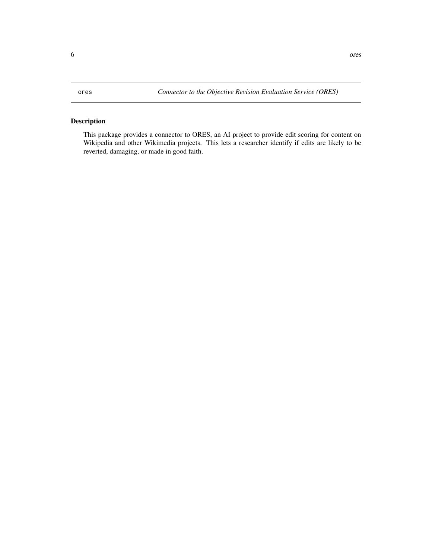#### <span id="page-5-0"></span>Description

This package provides a connector to ORES, an AI project to provide edit scoring for content on Wikipedia and other Wikimedia projects. This lets a researcher identify if edits are likely to be reverted, damaging, or made in good faith.